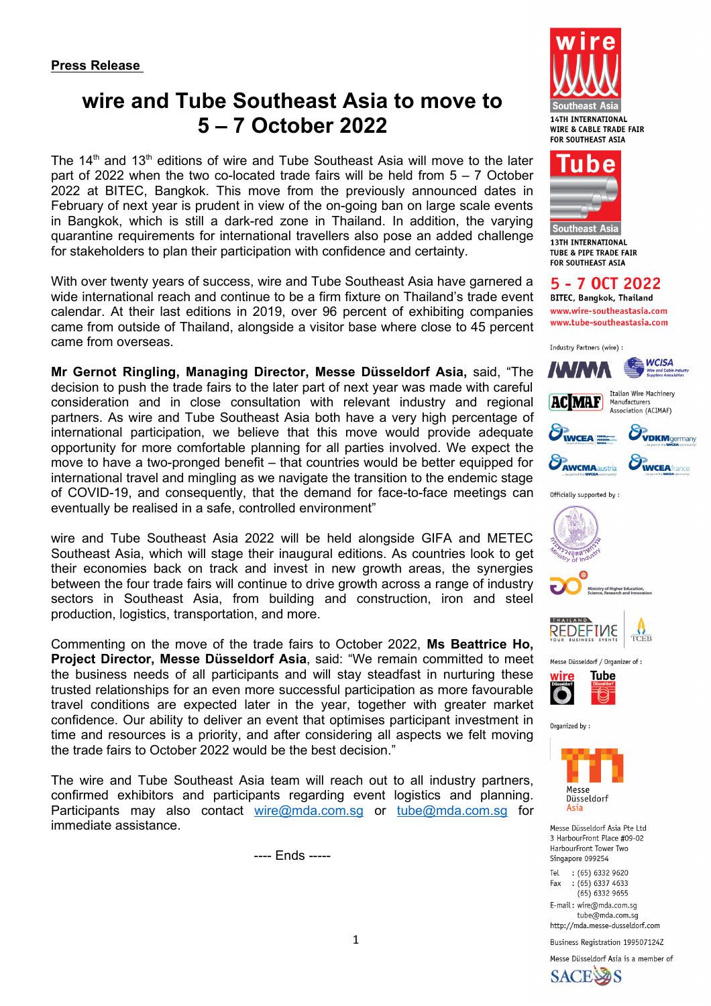# **wire and Tube Southeast Asia to move to 5 – 7 October 2022**

The  $14<sup>th</sup>$  and  $13<sup>th</sup>$  editions of wire and Tube Southeast Asia will move to the later part of 2022 when the two co-located trade fairs will be held from  $5 - 7$  October 2022 at BITEC, Bangkok. This move from the previously announced dates in February of next year is prudent in view of the on-going ban on large scale events in Bangkok, which is still a dark-red zone in Thailand. In addition, the varying quarantine requirements for international travellers also pose an added challenge for stakeholders to plan their participation with confidence and certainty.

With over twenty years of success, wire and Tube Southeast Asia have garnered a wide international reach and continue to be a firm fixture on Thailand's trade event calendar. At their last editions in 2019, over 96 percent of exhibiting companies came from outside of Thailand, alongside a visitor base where close to 45 percent came from overseas.

**Mr Gernot Ringling, Managing Director, Messe Düsseldorf Asia,** said, "The decision to push the trade fairs to the later part of next year was made with careful consideration and in close consultation with relevant industry and regional partners. As wire and Tube Southeast Asia both have a very high percentage of international participation, we believe that this move would provide adequate opportunity for more comfortable planning for all parties involved. We expect the move to have a two-pronged benefit – that countries would be better equipped for international travel and mingling as we navigate the transition to the endemic stage of COVID-19, and consequently, that the demand for face-to-face meetings can eventually be realised in a safe, controlled environment"

wire and Tube Southeast Asia 2022 will be held alongside GIFA and METEC Southeast Asia, which will stage their inaugural editions. As countries look to get their economies back on track and invest in new growth areas, the synergies between the four trade fairs will continue to drive growth across a range of industry sectors in Southeast Asia, from building and construction, iron and steel production, logistics, transportation, and more.

Commenting on the move of the trade fairs to October 2022, **Ms Beattrice Ho, Project Director, Messe Düsseldorf Asia**, said: "We remain committed to meet the business needs of all participants and will stay steadfast in nurturing these trusted relationships for an even more successful participation as more favourable travel conditions are expected later in the year, together with greater market confidence. Our ability to deliver an event that optimises participant investment in time and resources is a priority, and after considering all aspects we felt moving the trade fairs to October 2022 would be the best decision."

The wire and Tube Southeast Asia team will reach out to all industry partners, confirmed exhibitors and participants regarding event logistics and planning. Participants may also contact wire@mda.com.sg or tube@mda.com.sg for immediate assistance.

---- Ends -----





Southeast Asia **13TH INTERNATIONAL TUBE & PIPE TRADE FAIR FOR SOUTHFAST ASTA** 

5 - 7 OCT 2022 **BITEC, Bangkok, Thailand** www.wire-southeastasia.com www.tube-southeastasia.com













Organized by:



Messe Düsseldorf Asia Pte Ltd 3 HarbourFront Place #09-02 HarbourFront Tower Two Singapore 099254

Tel  $(65)$  6332 9620  $(65)$  6337 4633 Fax  $(65)$  6332 9655

E-mail: wire@mda.com.sg tube@mda.com.sg http://mda.messe-dusseldorf.com

Business Registration 199507124Z

Messe Düsseldorf Asia is a member of